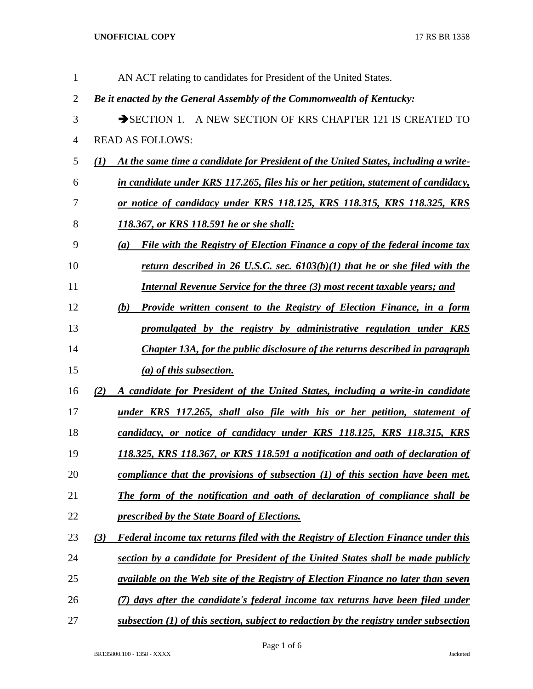**UNOFFICIAL COPY** 17 RS BR 1358

| $\mathbf{1}$   | AN ACT relating to candidates for President of the United States.                               |
|----------------|-------------------------------------------------------------------------------------------------|
| $\overline{2}$ | Be it enacted by the General Assembly of the Commonwealth of Kentucky:                          |
| 3              | SECTION 1. A NEW SECTION OF KRS CHAPTER 121 IS CREATED TO                                       |
| $\overline{4}$ | <b>READ AS FOLLOWS:</b>                                                                         |
| 5              | At the same time a candidate for President of the United States, including a write-<br>(1)      |
| 6              | in candidate under KRS 117.265, files his or her petition, statement of candidacy,              |
| 7              | or notice of candidacy under KRS 118.125, KRS 118.315, KRS 118.325, KRS                         |
| 8              | <u>118.367, or KRS 118.591 he or she shall:</u>                                                 |
| 9              | File with the Registry of Election Finance a copy of the federal income tax<br>(a)              |
| 10             | <u>return described in 26 U.S.C. sec. <math>6103(b)(1)</math> that he or she filed with the</u> |
| 11             | <b>Internal Revenue Service for the three (3) most recent taxable years; and</b>                |
| 12             | <b>Provide written consent to the Registry of Election Finance, in a form</b><br>(b)            |
| 13             | promulgated by the registry by administrative regulation under KRS                              |
| 14             | Chapter 13A, for the public disclosure of the returns described in paragraph                    |
| 15             | $(a)$ of this subsection.                                                                       |
| 16             | A candidate for President of the United States, including a write-in candidate<br>(2)           |
| 17             | under KRS 117.265, shall also file with his or her petition, statement of                       |
| 18             | candidacy, or notice of candidacy under KRS 118.125, KRS 118.315, KRS                           |
| 19             | 118.325, KRS 118.367, or KRS 118.591 a notification and oath of declaration of                  |
| 20             | compliance that the provisions of subsection $(1)$ of this section have been met.               |
| 21             | The form of the notification and oath of declaration of compliance shall be                     |
| 22             | prescribed by the State Board of Elections.                                                     |
| 23             | Federal income tax returns filed with the Registry of Election Finance under this<br>(3)        |
| 24             | section by a candidate for President of the United States shall be made publicly                |
| 25             | <i>available on the Web site of the Registry of Election Finance no later than seven</i>        |
| 26             | (7) days after the candidate's federal income tax returns have been filed under                 |
| 27             | subsection $(1)$ of this section, subject to redaction by the registry under subsection         |

Page 1 of 6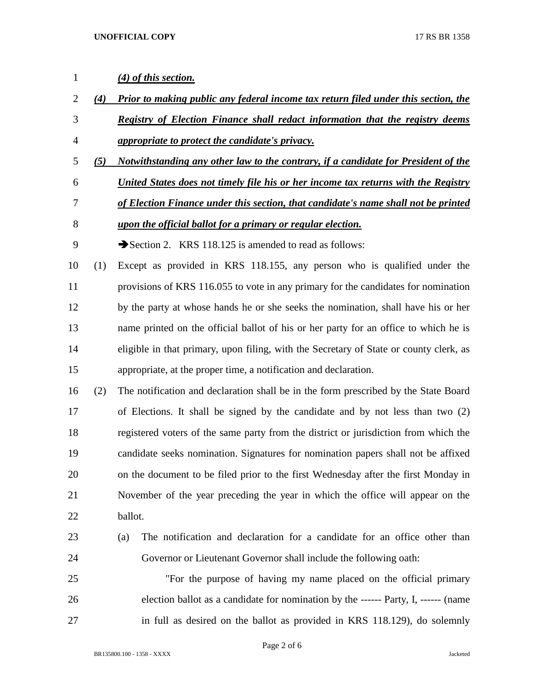| $\mathbf{1}$   |     | (4) of this section.                                                                      |
|----------------|-----|-------------------------------------------------------------------------------------------|
| $\overline{2}$ | (4) | <b>Prior to making public any federal income tax return filed under this section, the</b> |
| 3              |     | Registry of Election Finance shall redact information that the registry deems             |
| $\overline{4}$ |     | <i>appropriate to protect the candidate's privacy.</i>                                    |
| 5              | (5) | Notwithstanding any other law to the contrary, if a candidate for President of the        |
| 6              |     | United States does not timely file his or her income tax returns with the Registry        |
| 7              |     | of Election Finance under this section, that candidate's name shall not be printed        |
| 8              |     | upon the official ballot for a primary or regular election.                               |
| 9              |     | Section 2. KRS $118.125$ is amended to read as follows:                                   |
| 10             | (1) | Except as provided in KRS 118.155, any person who is qualified under the                  |
| 11             |     | provisions of KRS 116.055 to vote in any primary for the candidates for nomination        |
| 12             |     | by the party at whose hands he or she seeks the nomination, shall have his or her         |
| 13             |     | name printed on the official ballot of his or her party for an office to which he is      |
| 14             |     | eligible in that primary, upon filing, with the Secretary of State or county clerk, as    |
| 15             |     | appropriate, at the proper time, a notification and declaration.                          |
| 16             | (2) | The notification and declaration shall be in the form prescribed by the State Board       |
| 17             |     | of Elections. It shall be signed by the candidate and by not less than two (2)            |
| 18             |     | registered voters of the same party from the district or jurisdiction from which the      |
| 19             |     | candidate seeks nomination. Signatures for nomination papers shall not be affixed         |
| 20             |     | on the document to be filed prior to the first Wednesday after the first Monday in        |
| 21             |     | November of the year preceding the year in which the office will appear on the            |
| 22             |     | ballot.                                                                                   |
| 23             |     | The notification and declaration for a candidate for an office other than<br>(a)          |
| 24             |     | Governor or Lieutenant Governor shall include the following oath:                         |
| 25             |     | "For the purpose of having my name placed on the official primary                         |
| 26             |     | election ballot as a candidate for nomination by the ------ Party, I, ------ (name        |
| 27             |     | in full as desired on the ballot as provided in KRS 118.129), do solemnly                 |

Page 2 of 6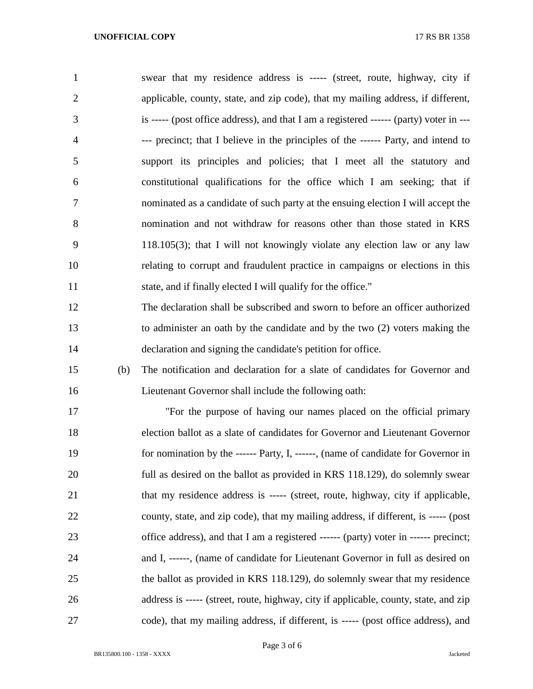| $\mathbf{1}$   |     | swear that my residence address is ----- (street, route, highway, city if              |
|----------------|-----|----------------------------------------------------------------------------------------|
| $\overline{2}$ |     | applicable, county, state, and zip code), that my mailing address, if different,       |
| 3              |     | is ----- (post office address), and that I am a registered ------ (party) voter in --- |
| 4              |     | --- precinct; that I believe in the principles of the ------ Party, and intend to      |
| 5              |     | support its principles and policies; that I meet all the statutory and                 |
| 6              |     | constitutional qualifications for the office which I am seeking; that if               |
| 7              |     | nominated as a candidate of such party at the ensuing election I will accept the       |
| 8              |     | nomination and not withdraw for reasons other than those stated in KRS                 |
| 9              |     | $118.105(3)$ ; that I will not knowingly violate any election law or any law           |
| 10             |     | relating to corrupt and fraudulent practice in campaigns or elections in this          |
| 11             |     | state, and if finally elected I will qualify for the office."                          |
| 12             |     | The declaration shall be subscribed and sworn to before an officer authorized          |
| 13             |     | to administer an oath by the candidate and by the two (2) voters making the            |
| 14             |     | declaration and signing the candidate's petition for office.                           |
| 15             | (b) | The notification and declaration for a slate of candidates for Governor and            |
| 16             |     | Lieutenant Governor shall include the following oath:                                  |
| 17             |     | "For the purpose of having our names placed on the official primary                    |
| 18             |     | election ballot as a slate of candidates for Governor and Lieutenant Governor          |
| 19             |     | for nomination by the ------ Party, I, ------, (name of candidate for Governor in      |
| 20             |     | full as desired on the ballot as provided in KRS 118.129), do solemnly swear           |
| 21             |     | that my residence address is ----- (street, route, highway, city if applicable,        |
| 22             |     | county, state, and zip code), that my mailing address, if different, is ----- (post    |
| 23             |     | office address), and that I am a registered ------ (party) voter in ------ precinct;   |
| 24             |     | and I, ------, (name of candidate for Lieutenant Governor in full as desired on        |
| 25             |     | the ballot as provided in KRS 118.129), do solemnly swear that my residence            |
| 26             |     | address is ----- (street, route, highway, city if applicable, county, state, and zip   |
| 27             |     | code), that my mailing address, if different, is ----- (post office address), and      |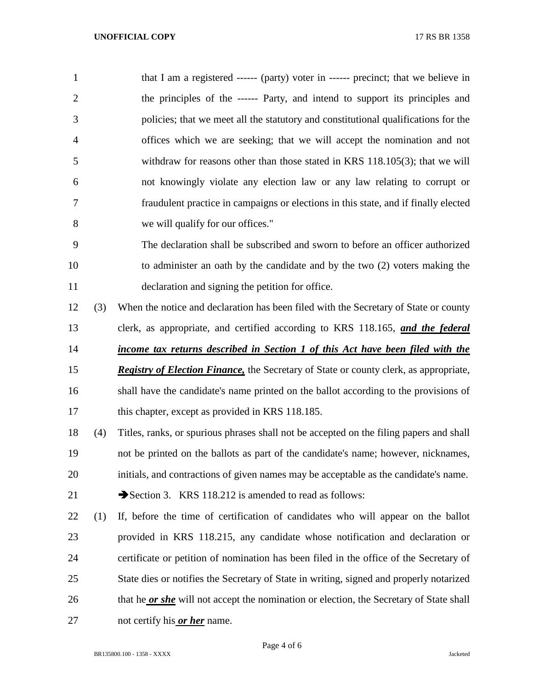1 that I am a registered ------ (party) voter in ------ precinct; that we believe in the principles of the ------ Party, and intend to support its principles and policies; that we meet all the statutory and constitutional qualifications for the offices which we are seeking; that we will accept the nomination and not withdraw for reasons other than those stated in KRS 118.105(3); that we will not knowingly violate any election law or any law relating to corrupt or fraudulent practice in campaigns or elections in this state, and if finally elected we will qualify for our offices."

 The declaration shall be subscribed and sworn to before an officer authorized to administer an oath by the candidate and by the two (2) voters making the declaration and signing the petition for office.

 (3) When the notice and declaration has been filed with the Secretary of State or county clerk, as appropriate, and certified according to KRS 118.165, *and the federal income tax returns described in Section 1 of this Act have been filed with the Registry of Election Finance,* the Secretary of State or county clerk, as appropriate, shall have the candidate's name printed on the ballot according to the provisions of

17 this chapter, except as provided in KRS 118.185.

 (4) Titles, ranks, or spurious phrases shall not be accepted on the filing papers and shall not be printed on the ballots as part of the candidate's name; however, nicknames, initials, and contractions of given names may be acceptable as the candidate's name. 21 Section 3. KRS 118.212 is amended to read as follows:

 (1) If, before the time of certification of candidates who will appear on the ballot provided in KRS 118.215, any candidate whose notification and declaration or certificate or petition of nomination has been filed in the office of the Secretary of State dies or notifies the Secretary of State in writing, signed and properly notarized that he *or she* will not accept the nomination or election, the Secretary of State shall not certify his *or her* name.

Page 4 of 6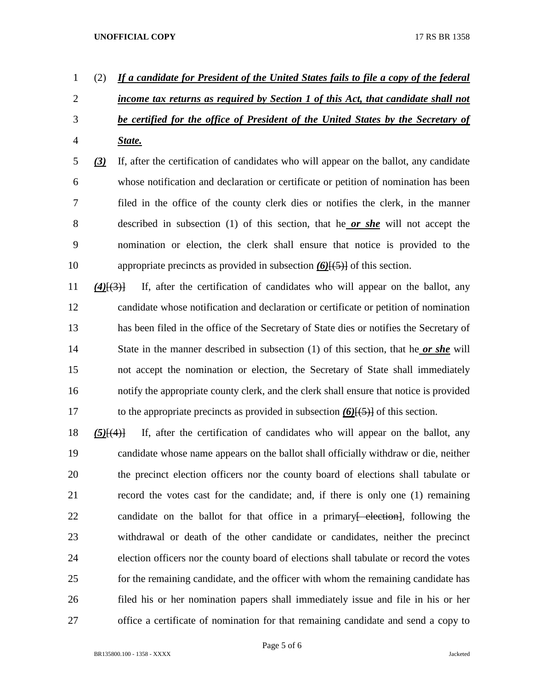## **UNOFFICIAL COPY** 17 RS BR 1358

- (2) *If a candidate for President of the United States fails to file a copy of the federal income tax returns as required by Section 1 of this Act, that candidate shall not be certified for the office of President of the United States by the Secretary of State.*
- *(3)* If, after the certification of candidates who will appear on the ballot, any candidate whose notification and declaration or certificate or petition of nomination has been filed in the office of the county clerk dies or notifies the clerk, in the manner described in subsection (1) of this section, that he *or she* will not accept the nomination or election, the clerk shall ensure that notice is provided to the appropriate precincts as provided in subsection *(6)*[(5)] of this section.
- *(4)*[(3)] If, after the certification of candidates who will appear on the ballot, any candidate whose notification and declaration or certificate or petition of nomination has been filed in the office of the Secretary of State dies or notifies the Secretary of State in the manner described in subsection (1) of this section, that he *or she* will not accept the nomination or election, the Secretary of State shall immediately notify the appropriate county clerk, and the clerk shall ensure that notice is provided to the appropriate precincts as provided in subsection *(6)*[(5)] of this section.
- *(5)*[(4)] If, after the certification of candidates who will appear on the ballot, any candidate whose name appears on the ballot shall officially withdraw or die, neither the precinct election officers nor the county board of elections shall tabulate or record the votes cast for the candidate; and, if there is only one (1) remaining 22 candidate on the ballot for that office in a primary<del>[ election]</del>, following the withdrawal or death of the other candidate or candidates, neither the precinct election officers nor the county board of elections shall tabulate or record the votes for the remaining candidate, and the officer with whom the remaining candidate has filed his or her nomination papers shall immediately issue and file in his or her office a certificate of nomination for that remaining candidate and send a copy to